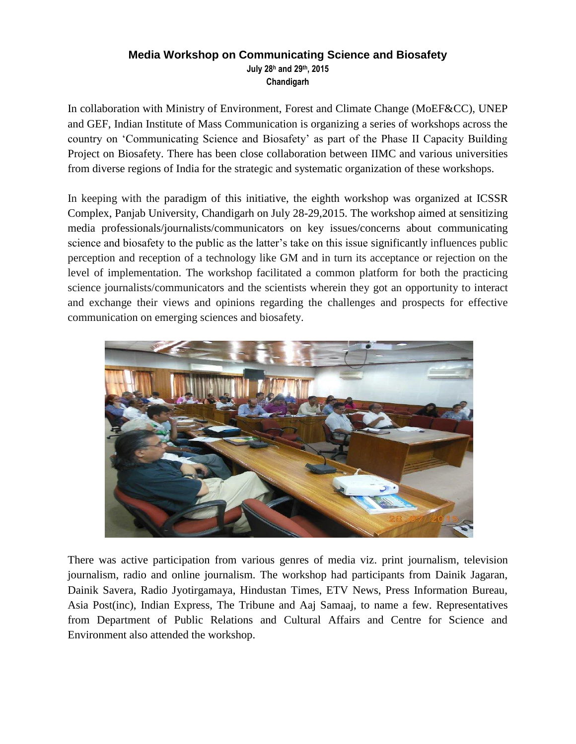## **Media Workshop on Communicating Science and Biosafety July 28<sup>h</sup> and 29th, 2015 Chandigarh**

In collaboration with Ministry of Environment, Forest and Climate Change (MoEF&CC), UNEP and GEF, Indian Institute of Mass Communication is organizing a series of workshops across the country on 'Communicating Science and Biosafety' as part of the Phase II Capacity Building Project on Biosafety. There has been close collaboration between IIMC and various universities from diverse regions of India for the strategic and systematic organization of these workshops.

In keeping with the paradigm of this initiative, the eighth workshop was organized at ICSSR Complex, Panjab University, Chandigarh on July 28-29,2015. The workshop aimed at sensitizing media professionals/journalists/communicators on key issues/concerns about communicating science and biosafety to the public as the latter's take on this issue significantly influences public perception and reception of a technology like GM and in turn its acceptance or rejection on the level of implementation. The workshop facilitated a common platform for both the practicing science journalists/communicators and the scientists wherein they got an opportunity to interact and exchange their views and opinions regarding the challenges and prospects for effective communication on emerging sciences and biosafety.



There was active participation from various genres of media viz. print journalism, television journalism, radio and online journalism. The workshop had participants from Dainik Jagaran, Dainik Savera, Radio Jyotirgamaya, Hindustan Times, ETV News, Press Information Bureau, Asia Post(inc), Indian Express, The Tribune and Aaj Samaaj, to name a few. Representatives from Department of Public Relations and Cultural Affairs and Centre for Science and Environment also attended the workshop.